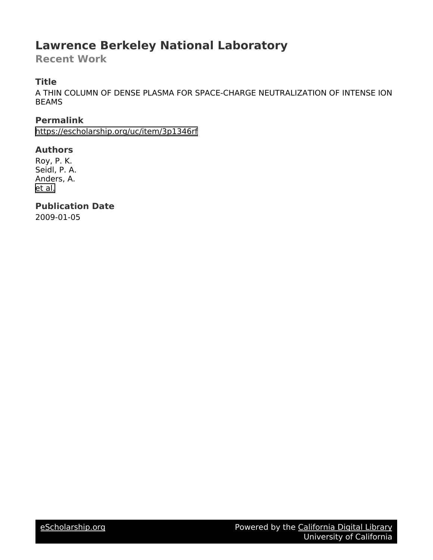## **Lawrence Berkeley National Laboratory**

**Recent Work**

## **Title**

A THIN COLUMN OF DENSE PLASMA FOR SPACE-CHARGE NEUTRALIZATION OF INTENSE ION BEAMS

**Permalink**

<https://escholarship.org/uc/item/3p1346rf>

## **Authors**

Roy, P. K. Seidl, P. A. Anders, A. [et al.](https://escholarship.org/uc/item/3p1346rf#author)

**Publication Date** 2009-01-05